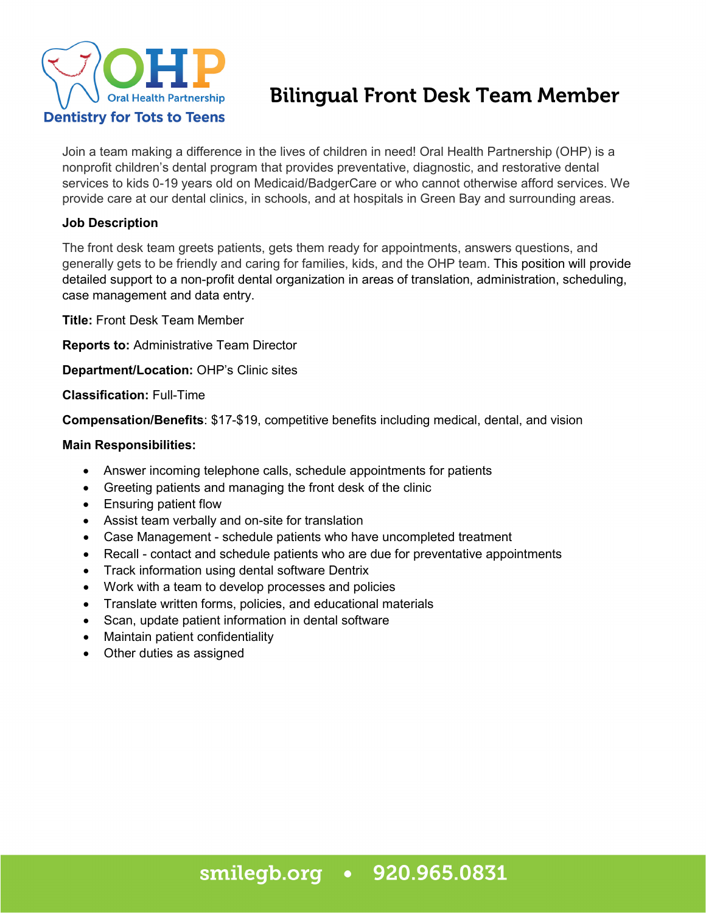

# Bilingual Front Desk Team Member

Join a team making a difference in the lives of children in need! Oral Health Partnership (OHP) is a nonprofit children's dental program that provides preventative, diagnostic, and restorative dental services to kids 0-19 years old on Medicaid/BadgerCare or who cannot otherwise afford services. We provide care at our dental clinics, in schools, and at hospitals in Green Bay and surrounding areas.

## **Job Description**

The front desk team greets patients, gets them ready for appointments, answers questions, and generally gets to be friendly and caring for families, kids, and the OHP team. This position will provide detailed support to a non-profit dental organization in areas of translation, administration, scheduling, case management and data entry.

**Title:** Front Desk Team Member

**Reports to:** Administrative Team Director

**Department/Location:** OHP's Clinic sites

**Classification:** Full-Time

**Compensation/Benefits**: \$17-\$19, competitive benefits including medical, dental, and vision

#### **Main Responsibilities:**

- Answer incoming telephone calls, schedule appointments for patients
- Greeting patients and managing the front desk of the clinic
- Ensuring patient flow
- Assist team verbally and on-site for translation
- Case Management schedule patients who have uncompleted treatment
- Recall contact and schedule patients who are due for preventative appointments
- Track information using dental software Dentrix
- Work with a team to develop processes and policies
- Translate written forms, policies, and educational materials
- Scan, update patient information in dental software
- Maintain patient confidentiality
- Other duties as assigned